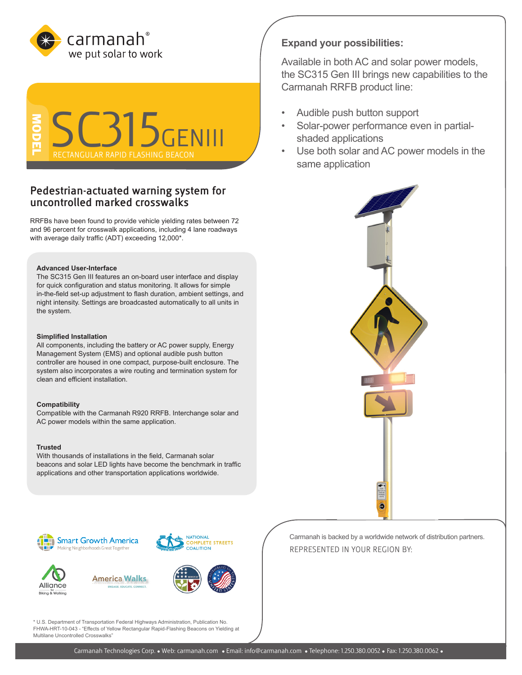



# **Pedestrian-actuated warning system for uncontrolled marked crosswalks**

RRFBs have been found to provide vehicle yielding rates between 72 and 96 percent for crosswalk applications, including 4 lane roadways with average daily traffic (ADT) exceeding 12,000\*.

## **Advanced User-Interface**

The SC315 Gen III features an on-board user interface and display for quick configuration and status monitoring. It allows for simple in-the-field set-up adjustment to flash duration, ambient settings, and night intensity. Settings are broadcasted automatically to all units in the system.

### **Simplified Installation**

All components, including the battery or AC power supply, Energy Management System (EMS) and optional audible push button controller are housed in one compact, purpose-built enclosure. The system also incorporates a wire routing and termination system for clean and efficient installation.

#### **Compatibility**

Compatible with the Carmanah R920 RRFB. Interchange solar and AC power models within the same application.

#### **Trusted**

With thousands of installations in the field, Carmanah solar beacons and solar LED lights have become the benchmark in traffic applications and other transportation applications worldwide.

# Smart Growth America Making Neighborhoods Great Togethe



**America Walks** 



**NUTION** 

**NATIONAL** 

OMPLETE STREETS

\* U.S. Department of Transportation Federal Highways Administration, Publication No. FHWA-HRT-10-043 - "Effects of Yellow Rectangular Rapid-Flashing Beacons on Yielding at Multilane Uncontrolled Crosswalks"

**Expand your possibilities:**

Available in both AC and solar power models, the SC315 Gen III brings new capabilities to the Carmanah RRFB product line:

- Audible push button support
- Solar-power performance even in partialshaded applications
- Use both solar and AC power models in the same application



Carmanah is backed by a worldwide network of distribution partners. REPRESENTED IN YOUR REGION BY: